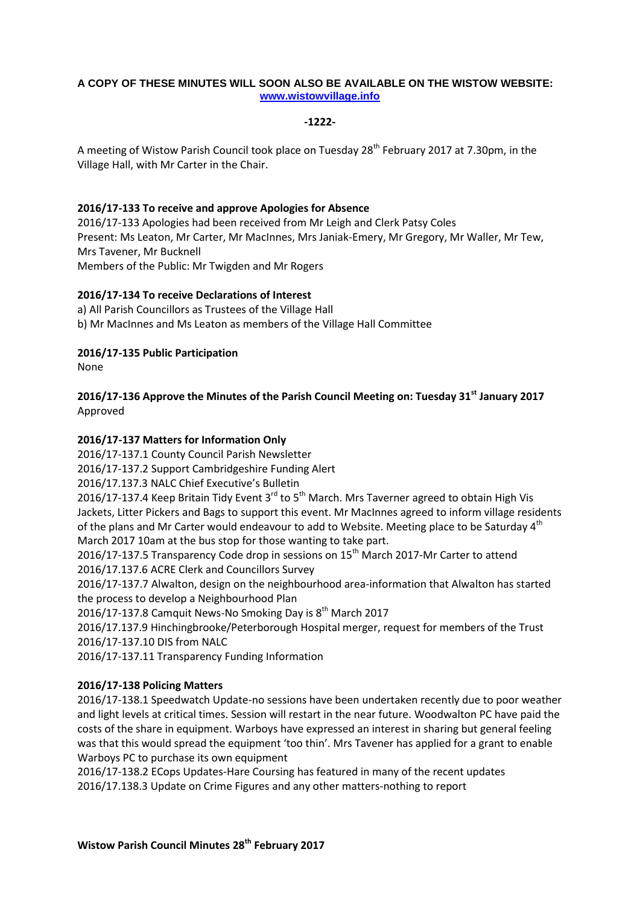## **A COPY OF THESE MINUTES WILL SOON ALSO BE AVAILABLE ON THE WISTOW WEBSITE: [www.wistowvillage.info](http://www.wistowvillage.info/)**

## **-1222-**

A meeting of Wistow Parish Council took place on Tuesday 28<sup>th</sup> February 2017 at 7.30pm, in the Village Hall, with Mr Carter in the Chair.

## **2016/17-133 To receive and approve Apologies for Absence**

2016/17-133 Apologies had been received from Mr Leigh and Clerk Patsy Coles Present: Ms Leaton, Mr Carter, Mr MacInnes, Mrs Janiak-Emery, Mr Gregory, Mr Waller, Mr Tew, Mrs Tavener, Mr Bucknell Members of the Public: Mr Twigden and Mr Rogers

## **2016/17-134 To receive Declarations of Interest**

a) All Parish Councillors as Trustees of the Village Hall b) Mr MacInnes and Ms Leaton as members of the Village Hall Committee

# **2016/17-135 Public Participation**

None

# **2016/17-136 Approve the Minutes of the Parish Council Meeting on: Tuesday 31st January 2017** Approved

# **2016/17-137 Matters for Information Only**

2016/17-137.1 County Council Parish Newsletter

2016/17-137.2 Support Cambridgeshire Funding Alert

2016/17.137.3 NALC Chief Executive's Bulletin

2016/17-137.4 Keep Britain Tidy Event  $3^{rd}$  to  $5^{th}$  March. Mrs Taverner agreed to obtain High Vis Jackets, Litter Pickers and Bags to support this event. Mr MacInnes agreed to inform village residents of the plans and Mr Carter would endeavour to add to Website. Meeting place to be Saturday 4<sup>th</sup> March 2017 10am at the bus stop for those wanting to take part.

2016/17-137.5 Transparency Code drop in sessions on 15<sup>th</sup> March 2017-Mr Carter to attend 2016/17.137.6 ACRE Clerk and Councillors Survey

2016/17-137.7 Alwalton, design on the neighbourhood area-information that Alwalton has started the process to develop a Neighbourhood Plan

2016/17-137.8 Camquit News-No Smoking Day is 8<sup>th</sup> March 2017

2016/17.137.9 Hinchingbrooke/Peterborough Hospital merger, request for members of the Trust 2016/17-137.10 DIS from NALC

2016/17-137.11 Transparency Funding Information

# **2016/17-138 Policing Matters**

2016/17-138.1 Speedwatch Update-no sessions have been undertaken recently due to poor weather and light levels at critical times. Session will restart in the near future. Woodwalton PC have paid the costs of the share in equipment. Warboys have expressed an interest in sharing but general feeling was that this would spread the equipment 'too thin'. Mrs Tavener has applied for a grant to enable Warboys PC to purchase its own equipment

2016/17-138.2 ECops Updates-Hare Coursing has featured in many of the recent updates 2016/17.138.3 Update on Crime Figures and any other matters-nothing to report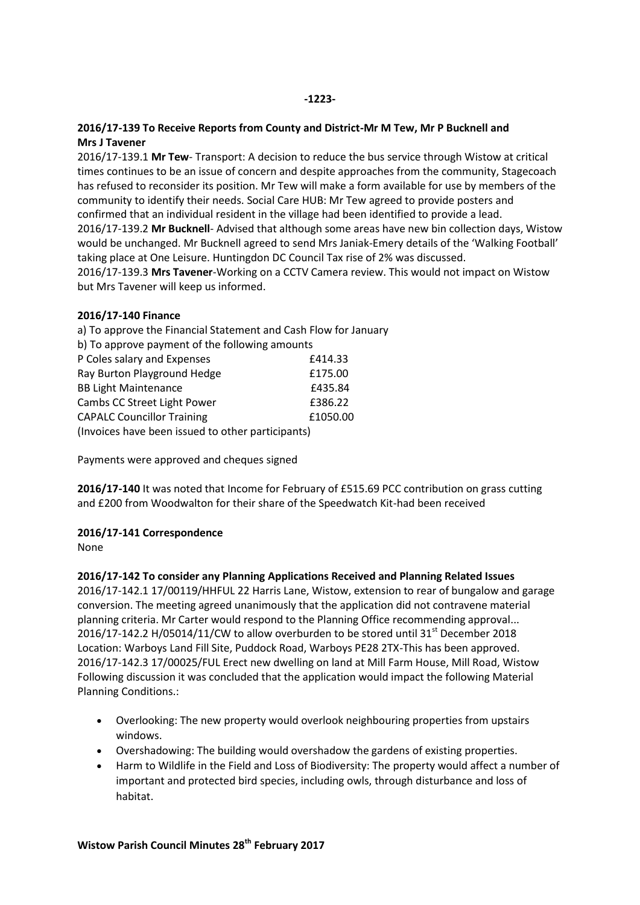## **-1223-**

## **2016/17-139 To Receive Reports from County and District-Mr M Tew, Mr P Bucknell and Mrs J Tavener**

2016/17-139.1 **Mr Tew**- Transport: A decision to reduce the bus service through Wistow at critical times continues to be an issue of concern and despite approaches from the community, Stagecoach has refused to reconsider its position. Mr Tew will make a form available for use by members of the community to identify their needs. Social Care HUB: Mr Tew agreed to provide posters and confirmed that an individual resident in the village had been identified to provide a lead. 2016/17-139.2 **Mr Bucknell**- Advised that although some areas have new bin collection days, Wistow would be unchanged. Mr Bucknell agreed to send Mrs Janiak-Emery details of the 'Walking Football' taking place at One Leisure. Huntingdon DC Council Tax rise of 2% was discussed.

2016/17-139.3 **Mrs Tavener**-Working on a CCTV Camera review. This would not impact on Wistow but Mrs Tavener will keep us informed.

#### **2016/17-140 Finance**

| a) To approve the Financial Statement and Cash Flow for January |          |
|-----------------------------------------------------------------|----------|
| b) To approve payment of the following amounts                  |          |
| P Coles salary and Expenses                                     | £414.33  |
| Ray Burton Playground Hedge                                     | £175.00  |
| <b>BB Light Maintenance</b>                                     | £435.84  |
| Cambs CC Street Light Power                                     | £386.22  |
| <b>CAPALC Councillor Training</b>                               | £1050.00 |
| (Invoices have been issued to other participants)               |          |

Payments were approved and cheques signed

**2016/17-140** It was noted that Income for February of £515.69 PCC contribution on grass cutting and £200 from Woodwalton for their share of the Speedwatch Kit-had been received

#### **2016/17-141 Correspondence**

None

#### **2016/17-142 To consider any Planning Applications Received and Planning Related Issues**

2016/17-142.1 17/00119/HHFUL 22 Harris Lane, Wistow, extension to rear of bungalow and garage conversion. The meeting agreed unanimously that the application did not contravene material planning criteria. Mr Carter would respond to the Planning Office recommending approval... 2016/17-142.2 H/05014/11/CW to allow overburden to be stored until 31 $^{\rm st}$  December 2018 Location: Warboys Land Fill Site, Puddock Road, Warboys PE28 2TX-This has been approved. 2016/17-142.3 17/00025/FUL Erect new dwelling on land at Mill Farm House, Mill Road, Wistow Following discussion it was concluded that the application would impact the following Material Planning Conditions.:

- Overlooking: The new property would overlook neighbouring properties from upstairs windows.
- Overshadowing: The building would overshadow the gardens of existing properties.
- Harm to Wildlife in the Field and Loss of Biodiversity: The property would affect a number of important and protected bird species, including owls, through disturbance and loss of habitat.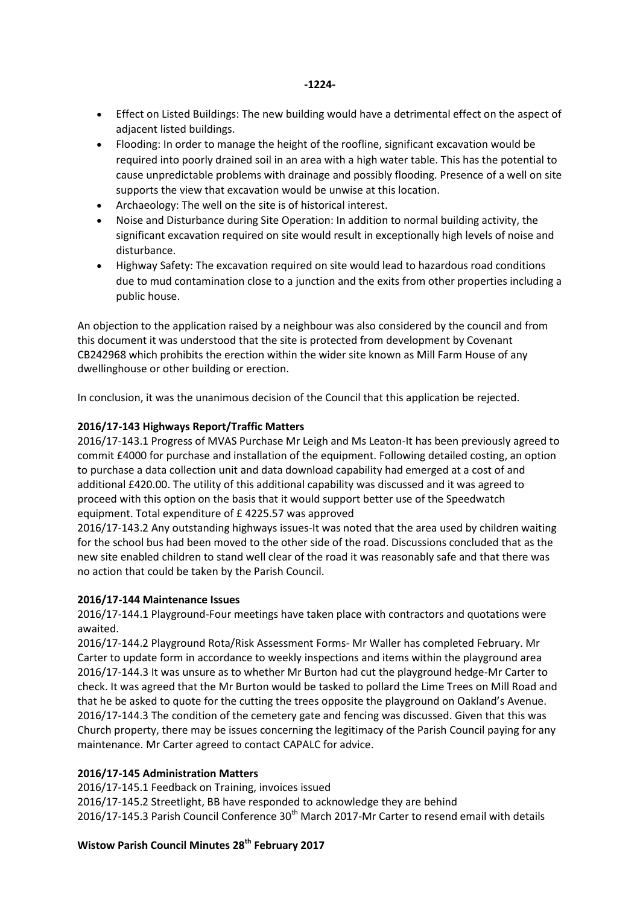- Effect on Listed Buildings: The new building would have a detrimental effect on the aspect of adiacent listed buildings.
- Flooding: In order to manage the height of the roofline, significant excavation would be required into poorly drained soil in an area with a high water table. This has the potential to cause unpredictable problems with drainage and possibly flooding. Presence of a well on site supports the view that excavation would be unwise at this location.
- Archaeology: The well on the site is of historical interest.
- Noise and Disturbance during Site Operation: In addition to normal building activity, the significant excavation required on site would result in exceptionally high levels of noise and disturbance.
- Highway Safety: The excavation required on site would lead to hazardous road conditions due to mud contamination close to a junction and the exits from other properties including a public house.

An objection to the application raised by a neighbour was also considered by the council and from this document it was understood that the site is protected from development by Covenant CB242968 which prohibits the erection within the wider site known as Mill Farm House of any dwellinghouse or other building or erection.

In conclusion, it was the unanimous decision of the Council that this application be rejected.

## **2016/17-143 Highways Report/Traffic Matters**

2016/17-143.1 Progress of MVAS Purchase Mr Leigh and Ms Leaton-It has been previously agreed to commit £4000 for purchase and installation of the equipment. Following detailed costing, an option to purchase a data collection unit and data download capability had emerged at a cost of and additional £420.00. The utility of this additional capability was discussed and it was agreed to proceed with this option on the basis that it would support better use of the Speedwatch equipment. Total expenditure of £ 4225.57 was approved

2016/17-143.2 Any outstanding highways issues-It was noted that the area used by children waiting for the school bus had been moved to the other side of the road. Discussions concluded that as the new site enabled children to stand well clear of the road it was reasonably safe and that there was no action that could be taken by the Parish Council.

#### **2016/17-144 Maintenance Issues**

2016/17-144.1 Playground-Four meetings have taken place with contractors and quotations were awaited.

2016/17-144.2 Playground Rota/Risk Assessment Forms- Mr Waller has completed February. Mr Carter to update form in accordance to weekly inspections and items within the playground area 2016/17-144.3 It was unsure as to whether Mr Burton had cut the playground hedge-Mr Carter to check. It was agreed that the Mr Burton would be tasked to pollard the Lime Trees on Mill Road and that he be asked to quote for the cutting the trees opposite the playground on Oakland's Avenue. 2016/17-144.3 The condition of the cemetery gate and fencing was discussed. Given that this was Church property, there may be issues concerning the legitimacy of the Parish Council paying for any maintenance. Mr Carter agreed to contact CAPALC for advice.

#### **2016/17-145 Administration Matters**

2016/17-145.1 Feedback on Training, invoices issued

2016/17-145.2 Streetlight, BB have responded to acknowledge they are behind 2016/17-145.3 Parish Council Conference  $30<sup>th</sup>$  March 2017-Mr Carter to resend email with details

# **Wistow Parish Council Minutes 28th February 2017**